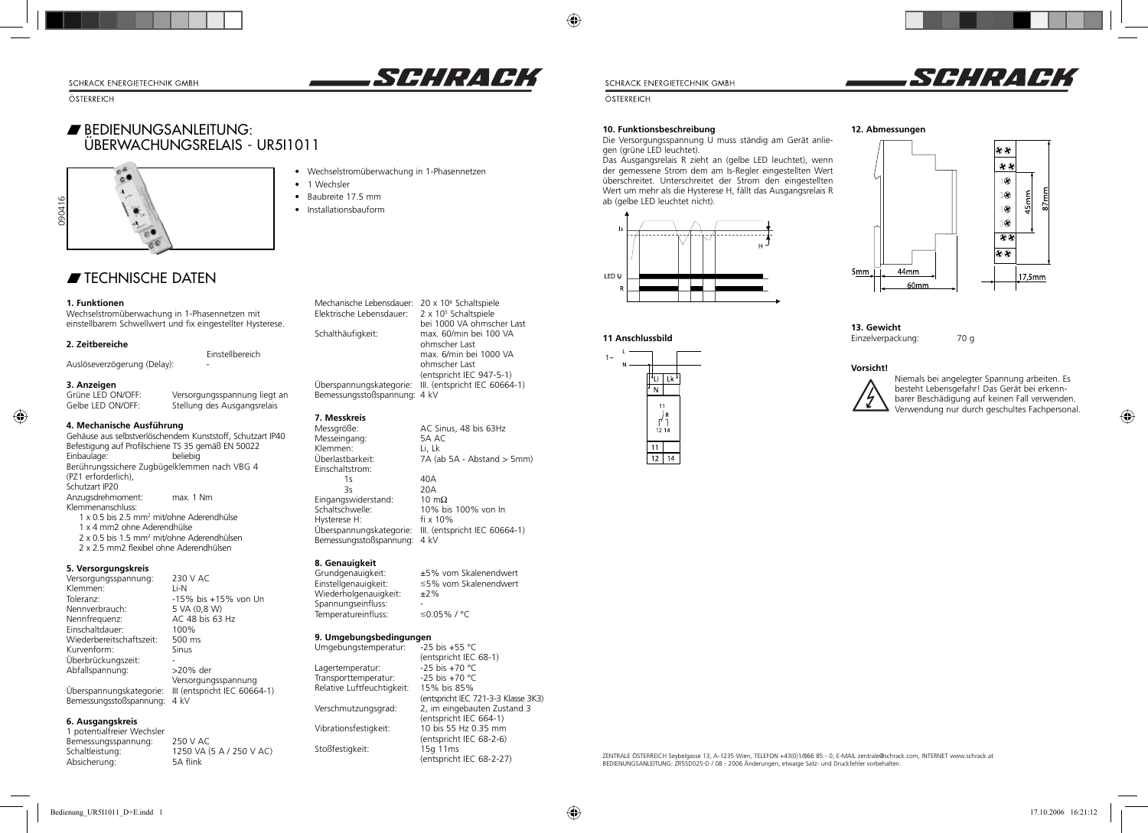### SCHRACK ENERGIETECHNIK GMBH

ÖSTERREICH

## w BEDIENUNGSANLEITUNG: ÜBERWACHUNGSRELAIS - UR5I1011



- Wechselstromüberwachung in 1-Phasennetzen
	- 1 Wechsler
	- Baubreite 17.5 mm
	- Installationsbauform

## $\blacktriangleright$  TECHNISCHE DATEN

### **1. Funktionen**

 Wechselstromüberwachung in 1-Phasennetzen mit einstellbarem Schwellwert und fix eingestellter Hysterese.

Einstellbereich

Stellung des Ausgangsrelais

### **2. Zeitbereiche**

Auslöseverzögerung (Delay):

# **3. Anzeigen**

◈

Grüne LED ON/OFF: Versorgungsspannung liegt an Gelbe LED ON/OFF: Stellung des Ausgangsrelais

### **4. Mechanische Ausführung** Gehäuse aus selbstverlöschendem Kunststoff, Schutzart IP40 Befestigung auf Profilschiene TS 35 gemäß EN 50022 Einbaulage:

Berührungssichere Zugbügelklemmen nach VBG 4 (PZ1 erforderlich), Schutzart IP20 Anzugsdrehmoment: max. 1 Nm Klemmenanschluss: 1 x 0.5 bis 2.5 mm2 mit/ohne Aderendhülse 1 x 4 mm2 ohne Aderendhülse 2 x 0.5 bis 1.5 mm2 mit/ohne Aderendhülsen2 x 2.5 mm2 flexibel ohne Aderendhülsen

### **5. Versorgungskreis**

| Versorgungsspannung:     | 230 V AC                     |
|--------------------------|------------------------------|
| Klemmen:                 | Li-N                         |
| Toleranz:                | -15% bis +15% von Un         |
| Nennverbrauch:           | 5 VA (0,8 W)                 |
| Nennfrequenz:            | AC 48 bis 63 Hz              |
| Einschaltdauer:          | 100%                         |
| Wiederbereitschaftszeit: | 500 ms                       |
| Kurvenform:              | Sinus                        |
| Überbrückungszeit:       |                              |
| Abfallspannung:          | >20% der                     |
|                          | Versorgungsspannung          |
| Überspannungskategorie:  | III (entspricht IEC 60664-1) |
| Bemessungsstoßspannung:  | $4$ kV                       |

### **6. Ausgangskreis**

1 potentialfreier Wechsler Bemessungsspannung: 250 V AC<br>Schaltleistung: 1250 VA 1250 VA (5 A / 250 V AC)<br>5A flink Absicherung:

Mechanische Lebensdauer: 20 x 10<sup>6</sup> Schaltspiele Elektrische Lebensdauer: 2 x 105 Schaltspiele bei 1000 VA ohmscher LastSchalthäufigkeit: max. 60/min bei 100 VA ohmscher Last max. 6/min bei 1000 VA ohmscher Last (entspricht IEC 947-5-1) Überspannungskategorie: III. (entspricht IEC 60664-1) Bemessungsstoßspannung: 4 kV

### **7. Messkreis**

Klemmen:<br>Überlastbarkeit:

Einschaltstrom:

Messgröße: AC Sinus, 48 bis 63Hz Messeingang: 5A ACC 55A ACC 55A ACC 55A ACC 55A ACC 55A ACC 55A ACC 55A ACC 55A ACC 55A ACC 55A ACC 55A ACC 55  $\overline{7A}$  (ab 5A - Abstand  $>$  5mm) 1s 40A

*SEHRACK* 

 3s 20A $10 \text{ m}\Omega$ Eingangswiderstand:<br>Schaltschwelle: Schaltschwelle: 10% bis 100% von In Hysterese H: fi x 10% Überspannungskategorie: III. (entspricht IEC 60664-1) Bemessungsstoßspannung: 4 kV

# **8. Genauigkeit**

Temperatureinfluss:

Stoßfestigkeit:

Grundgenauigkeit: ±5% vom Skalenendwert<br>Einstellgenauigkeit: ≤5% vom Skalenendwert  $\leq$ 5% vom Skalenendwert<br>±2% Wiederholgenauigkeit: Spannungseinfluss:  $\frac{1}{2}$  =  $\frac{1}{2}$  = 0.05% / °C

### **9. Umgebungsbedingungen**<br>Umgebungstemperatur: -25 bis +55 °C Umgebungstemperatur:

(entspricht IEC 68-1)<br>-25 bis +70 °C Lagertemperatur: -25 bis +70 °C<br>Transporttemperatur: -25 bis +70 °C Transporttemperatur: -25 bis +70 °C<br>Relative Luftfeuchtigkeit: 15% bis 85% Relative Luftfeuchtigkeit: (entspricht IEC 721-3-3 Klasse 3K3)<br>Verschmutzungsgrad: 2, im eingebauten Zustand 3 2, im eingebauten Zustand 3 (entspricht IEC 664-1)<br>10 bis 55 Hz 0.35 mm Vibrationsfestigkeit: (entspricht IEC 68-2-6) (entspricht IEC 68-2-27)

SCHRACK ENERGIETECHNIK GMBH

ÖSTERREICH

◈

### **10. Funktionsbeschreibung**

**11 Anschlussbild**

lık  $\overline{z}$ 

 $\begin{bmatrix} 1 \\ 1 \\ 2 \\ 1 \\ 4 \end{bmatrix}$ 

 $12$  14

Die Versorgungsspannung U muss ständig am Gerät anliegen (grüne LED leuchtet).

Das Ausgangsrelais R zieht an (gelbe LED leuchtet), wenn der gemessene Strom dem am Is-Regler eingestellten Wert überschreitet. Unterschreitet der Strom den eingestellten Wert um mehr als die Hysterese H, fällt das Ausgangsrelais R ab (gelbe LED leuchtet nicht).







**13. Gewicht**Einzelverpackung: 70 g

44mm

 $60<sub>mm</sub>$ 

### **Vorsicht!**

5mm



Niemals bei angelegter Spannung arbeiten. Es besteht Lebensgefahr! Das Gerät bei erkennbarer Beschädigung auf keinen Fall verwenden. Verwendung nur durch geschultes Fachpersonal.

ZENTRALE ÖSTERREICH Seybelgasse 13, A-1235 Wien, TELEFON +43(0)1/866 85 - 0, E-MAIL zentrale@schrack.com, INTERNET www.schrack.at BEDIENUNGSANLEITUNG: ZR5SD025-D / 08 - 2006 Änderungen, etwaige Satz- und Druckfehler vorbehalten.

SCHRACK